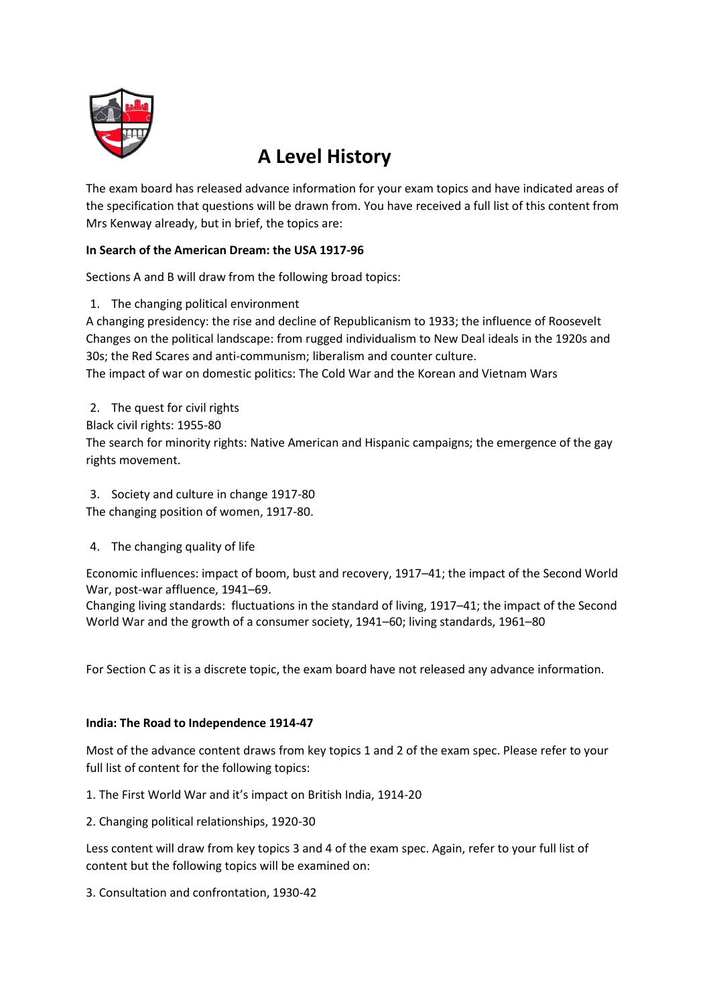

## **A Level History**

The exam board has released advance information for your exam topics and have indicated areas of the specification that questions will be drawn from. You have received a full list of this content from Mrs Kenway already, but in brief, the topics are:

## **In Search of the American Dream: the USA 1917-96**

Sections A and B will draw from the following broad topics:

1. The changing political environment

A changing presidency: the rise and decline of Republicanism to 1933; the influence of Roosevelt Changes on the political landscape: from rugged individualism to New Deal ideals in the 1920s and 30s; the Red Scares and anti-communism; liberalism and counter culture.

The impact of war on domestic politics: The Cold War and the Korean and Vietnam Wars

2. The quest for civil rights Black civil rights: 1955-80 The search for minority rights: Native American and Hispanic campaigns; the emergence of the gay rights movement.

3. Society and culture in change 1917-80 The changing position of women, 1917-80.

4. The changing quality of life

Economic influences: impact of boom, bust and recovery, 1917–41; the impact of the Second World War, post-war affluence, 1941–69.

Changing living standards: fluctuations in the standard of living, 1917–41; the impact of the Second World War and the growth of a consumer society, 1941–60; living standards, 1961–80

For Section C as it is a discrete topic, the exam board have not released any advance information.

## **India: The Road to Independence 1914-47**

Most of the advance content draws from key topics 1 and 2 of the exam spec. Please refer to your full list of content for the following topics:

- 1. The First World War and it's impact on British India, 1914-20
- 2. Changing political relationships, 1920-30

Less content will draw from key topics 3 and 4 of the exam spec. Again, refer to your full list of content but the following topics will be examined on:

3. Consultation and confrontation, 1930-42